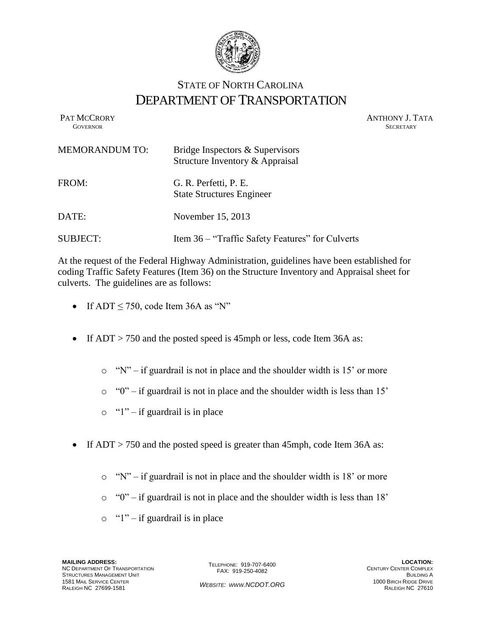

## STATE OF NORTH CAROLINA DEPARTMENT OF TRANSPORTATION

PAT MCCRORY ANTHONY J. TATA **GOVERNOR SECRETARY** SECRETARY

| <b>MEMORANDUM TO:</b> | Bridge Inspectors & Supervisors<br>Structure Inventory & Appraisal |
|-----------------------|--------------------------------------------------------------------|
| FROM:                 | G. R. Perfetti, P. E.<br><b>State Structures Engineer</b>          |
| DATE:                 | November 15, 2013                                                  |
| <b>SUBJECT:</b>       | Item 36 – "Traffic Safety Features" for Culverts                   |

At the request of the Federal Highway Administration, guidelines have been established for coding Traffic Safety Features (Item 36) on the Structure Inventory and Appraisal sheet for culverts. The guidelines are as follows:

- If  $ADT \le 750$ , code Item 36A as "N"
- If  $ADT > 750$  and the posted speed is 45mph or less, code Item 36A as:
	- $\circ$  "N" if guardrail is not in place and the shoulder width is 15' or more
	- o "0" if guardrail is not in place and the shoulder width is less than 15'
	- $\circ$  "1" if guardrail is in place
- If ADT > 750 and the posted speed is greater than 45mph, code Item 36A as:
	- $\circ$  "N" if guardrail is not in place and the shoulder width is 18' or more
	- o "0" if guardrail is not in place and the shoulder width is less than 18'
	- $\circ$  "1" if guardrail is in place

**MAILING ADDRESS:** NC DEPARTMENT OF TRANSPORTATION STRUCTURES MANAGEMENT UNIT 1581 MAIL SERVICE CENTER RALEIGH NC 27699-1581

TELEPHONE: 919-707-6400 FAX: 919-250-4082

*WEBSITE: WWW.NCDOT.ORG*